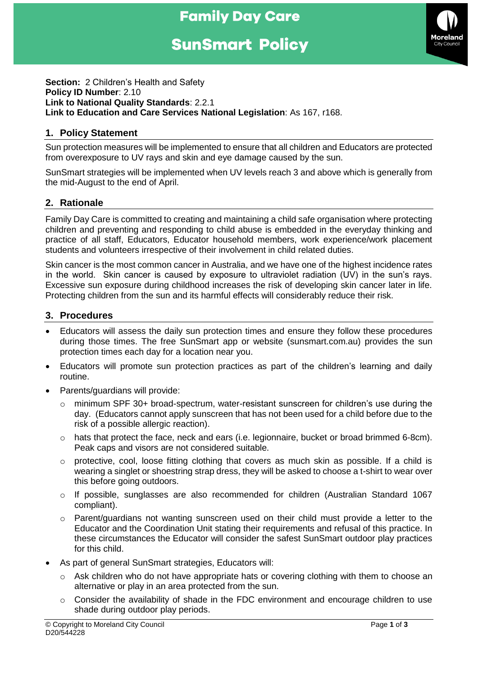# **Family Day Care**

# **SunSmart Policy**



**Section:** 2 Children's Health and Safety **Policy ID Number**: 2.10 **Link to National Quality Standards**: 2.2.1 **Link to Education and Care Services National Legislation**: As 167, r168.

#### **1. Policy Statement**

Sun protection measures will be implemented to ensure that all children and Educators are protected from overexposure to UV rays and skin and eye damage caused by the sun.

SunSmart strategies will be implemented when UV levels reach 3 and above which is generally from the mid-August to the end of April.

#### **2. Rationale**

Family Day Care is committed to creating and maintaining a child safe organisation where protecting children and preventing and responding to child abuse is embedded in the everyday thinking and practice of all staff, Educators, Educator household members, work experience/work placement students and volunteers irrespective of their involvement in child related duties.

Skin cancer is the most common cancer in Australia, and we have one of the highest incidence rates in the world. Skin cancer is caused by exposure to ultraviolet radiation (UV) in the sun's rays. Excessive sun exposure during childhood increases the risk of developing skin cancer later in life. Protecting children from the sun and its harmful effects will considerably reduce their risk.

#### **3. Procedures**

- Educators will assess the daily sun protection times and ensure they follow these procedures during those times. The free SunSmart app or website (sunsmart.com.au) provides the sun protection times each day for a location near you.
- Educators will promote sun protection practices as part of the children's learning and daily routine.
- Parents/guardians will provide:
	- $\circ$  minimum SPF 30+ broad-spectrum, water-resistant sunscreen for children's use during the day. (Educators cannot apply sunscreen that has not been used for a child before due to the risk of a possible allergic reaction).
	- $\circ$  hats that protect the face, neck and ears (i.e. legionnaire, bucket or broad brimmed 6-8cm). Peak caps and visors are not considered suitable.
	- o protective, cool, loose fitting clothing that covers as much skin as possible. If a child is wearing a singlet or shoestring strap dress, they will be asked to choose a t-shirt to wear over this before going outdoors.
	- o If possible, sunglasses are also recommended for children (Australian Standard 1067 compliant).
	- $\circ$  Parent/guardians not wanting sunscreen used on their child must provide a letter to the Educator and the Coordination Unit stating their requirements and refusal of this practice. In these circumstances the Educator will consider the safest SunSmart outdoor play practices for this child.
- As part of general SunSmart strategies, Educators will:
	- $\circ$  Ask children who do not have appropriate hats or covering clothing with them to choose an alternative or play in an area protected from the sun.
	- $\circ$  Consider the availability of shade in the FDC environment and encourage children to use shade during outdoor play periods.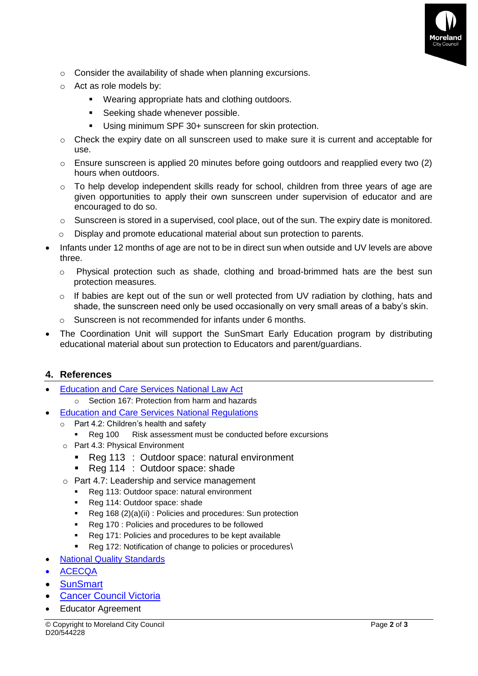

- o Consider the availability of shade when planning excursions.
- o Act as role models by:
	- Wearing appropriate hats and clothing outdoors.
	- **EXEC** Seeking shade whenever possible.
	- Using minimum SPF 30+ sunscreen for skin protection.
- $\circ$  Check the expiry date on all sunscreen used to make sure it is current and acceptable for use.
- $\circ$  Ensure sunscreen is applied 20 minutes before going outdoors and reapplied every two (2) hours when outdoors.
- $\circ$  To help develop independent skills ready for school, children from three years of age are given opportunities to apply their own sunscreen under supervision of educator and are encouraged to do so.
- $\circ$  Sunscreen is stored in a supervised, cool place, out of the sun. The expiry date is monitored.
- o Display and promote educational material about sun protection to parents.
- Infants under 12 months of age are not to be in direct sun when outside and UV levels are above three.
	- $\circ$  Physical protection such as shade, clothing and broad-brimmed hats are the best sun protection measures.
	- $\circ$  If babies are kept out of the sun or well protected from UV radiation by clothing, hats and shade, the sunscreen need only be used occasionally on very small areas of a baby's skin.
	- o Sunscreen is not recommended for infants under 6 months.
- The Coordination Unit will support the SunSmart Early Education program by distributing educational material about sun protection to Educators and parent/guardians.

### **4. References**

- [Education and Care Services National Law Act](https://www.acecqa.gov.au/nqf/national-law-regulations/national-law)
	- o Section 167: Protection from harm and hazards
- **[Education and Care Services National Regulations](https://www.acecqa.gov.au/nqf/national-law-regulations/national-regulations)** 
	- o Part 4.2: Children's health and safety
		- Reg 100 Risk assessment must be conducted before excursions
	- o Part 4.3: Physical Environment
		- Reg 113 : Outdoor space: natural environment
		- Reg 114 : Outdoor space: shade
	- o Part 4.7: Leadership and service management
		- Reg 113: Outdoor space: natural environment
		- Reg 114: Outdoor space: shade
		- Reg 168 (2)(a)(ii) : Policies and procedures: Sun protection
		- Reg 170 : Policies and procedures to be followed
		- Reg 171: Policies and procedures to be kept available
		- Reg 172: Notification of change to policies or procedures\
- **[National Quality Standards](https://www.acecqa.gov.au/nqf/national-quality-standard)**
- [ACECQA](https://www.acecqa.gov.au/)
- **[SunSmart](https://www.sunsmart.com.au/)**
- **[Cancer Council Victoria](https://www.cancervic.org.au/)**
- Educator Agreement